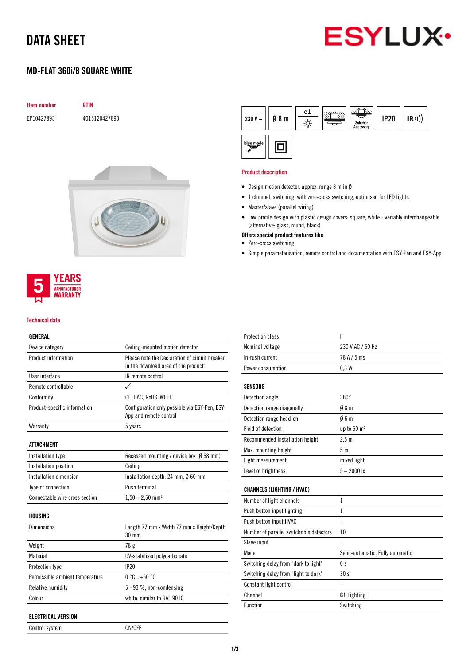## DATA SHEET



## MD-FLAT 360i/8 SQUARE WHITE

| <b>Item number</b> | GTIN          |
|--------------------|---------------|
| EP10427893         | 4015120427893 |



### **YEARS MANUFACTURER WARRANTY**

#### Technical data

### GENERAL

| Device category                 | Ceiling-mounted motion detector                                         |
|---------------------------------|-------------------------------------------------------------------------|
| Product information             | Please note the Declaration of circuit breaker                          |
|                                 | in the download area of the product!                                    |
| User interface                  | IR remote control                                                       |
| Remote controllable             |                                                                         |
| Conformity                      | CE, EAC, RoHS, WEEE                                                     |
| Product-specific information    | Configuration only possible via ESY-Pen, ESY-<br>App and remote control |
| Warranty                        | 5 years                                                                 |
| ATTACHMENT                      |                                                                         |
| Installation type               | Recessed mounting / device box (Ø 68 mm)                                |
| Installation position           | Ceiling                                                                 |
| Installation dimension          | Installation depth: 24 mm, $\emptyset$ 60 mm                            |
| Type of connection              | Push terminal                                                           |
| Connectable wire cross section  | $1,50 - 2,50$ mm <sup>2</sup>                                           |
| HOUSING                         |                                                                         |
| <b>Dimensions</b>               | Length 77 mm x Width 77 mm x Height/Depth<br>30 mm                      |
| Weight                          | 78 g                                                                    |
| Material                        | UV-stabilised polycarbonate                                             |
| Protection type                 | IP20                                                                    |
| Permissible ambient temperature | $0^{\circ}$ C+50 $^{\circ}$ C                                           |
| Relative humidity               | $5 - 93$ %, non-condensing                                              |
| Colour                          | white, similar to RAL 9010                                              |
| ELECTRICAL VERSION              |                                                                         |

| Control system | ON/OFF |
|----------------|--------|

#### $c1$  $\mathbf{IR}$ <sup>1</sup>)) 230 V  $\sim$  $08<sub>m</sub>$ **IP20** ☆ Zu blue mode 回

#### Product description

- Design motion detector, approx. range 8 m in Ø
- 1 channel, switching, with zero-cross switching, optimised for LED lights
- Master/slave (parallel wiring)
- Low profile design with plastic design covers: square, white variably interchangeable (alternative: glass, round, black)
- Offers special product features like:
- Zero-cross switching
- Simple parameterisation, remote control and documentation with ESY-Pen and ESY-App

| Protection class                        | $\mathbf{I}$                    |
|-----------------------------------------|---------------------------------|
| Nominal voltage                         | 230 V AC / 50 Hz                |
| In-rush current                         | 78 A / 5 ms                     |
| Power consumption                       | 0.3W                            |
| <b>SENSORS</b>                          |                                 |
| Detection angle                         | $360^\circ$                     |
| Detection range diagonally              | 08 <sub>m</sub>                 |
| Detection range head-on                 | 06m                             |
| Field of detection                      | up to 50 m <sup>2</sup>         |
| Recommended installation height         | 2.5 <sub>m</sub>                |
| Max. mounting height                    | 5 <sub>m</sub>                  |
| Light measurement                       | mixed light                     |
| Level of brightness                     | $5 - 2000$ lx                   |
| <b>CHANNELS (LIGHTING / HVAC)</b>       |                                 |
| Number of light channels                | 1                               |
| Push button input lighting              | 1                               |
| Push button input HVAC                  |                                 |
| Number of parallel switchable detectors | 10                              |
| Slave input                             |                                 |
| Mode                                    | Semi-automatic, Fully automatic |
| Switching delay from "dark to light"    | 0 <sub>s</sub>                  |
| Switching delay from "light to dark"    | 30s                             |
| Constant light control                  |                                 |
| Channel                                 | <b>C1</b> Lighting              |
| <b>Function</b>                         | Switching                       |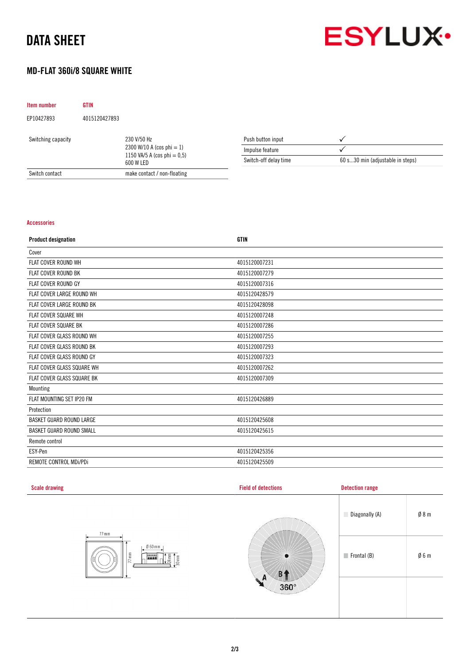# DATA SHEET



## MD-FLAT 360i/8 SQUARE WHITE

| <b>Item number</b>                | <b>GTIN</b>   |                                                                          |                       |                                  |
|-----------------------------------|---------------|--------------------------------------------------------------------------|-----------------------|----------------------------------|
| EP10427893                        | 4015120427893 |                                                                          |                       |                                  |
| 230 V/50 Hz<br>Switching capacity |               |                                                                          | Push button input     |                                  |
|                                   |               | 2300 W/10 A (cos phi $= 1$ )<br>1150 VA/5 A (cos phi = 0.5)<br>600 W LED | Impulse feature       |                                  |
|                                   |               |                                                                          | Switch-off delay time | 60 s30 min (adjustable in steps) |
| Switch contact                    |               | make contact / non-floating                                              |                       |                                  |

### Accessories

| <b>Product designation</b>       | <b>GTIN</b>   |
|----------------------------------|---------------|
| Cover                            |               |
| <b>FLAT COVER ROUND WH</b>       | 4015120007231 |
| <b>FLAT COVER ROUND BK</b>       | 4015120007279 |
| FLAT COVER ROUND GY              | 4015120007316 |
| FLAT COVER LARGE ROUND WH        | 4015120428579 |
| <b>FLAT COVER LARGE ROUND BK</b> | 4015120428098 |
| FLAT COVER SQUARE WH             | 4015120007248 |
| <b>FLAT COVER SQUARE BK</b>      | 4015120007286 |
| FLAT COVER GLASS ROUND WH        | 4015120007255 |
| FLAT COVER GLASS ROUND BK        | 4015120007293 |
| FLAT COVER GLASS ROUND GY        | 4015120007323 |
| FLAT COVER GLASS SQUARE WH       | 4015120007262 |
| FLAT COVER GLASS SQUARE BK       | 4015120007309 |
| Mounting                         |               |
| FLAT MOUNTING SET IP20 FM        | 4015120426889 |
| Protection                       |               |
| <b>BASKET GUARD ROUND LARGE</b>  | 4015120425608 |
| <b>BASKET GUARD ROUND SMALL</b>  | 4015120425615 |
| Remote control                   |               |
| ESY-Pen                          | 4015120425356 |
| REMOTE CONTROL MDI/PDI           | 4015120425509 |